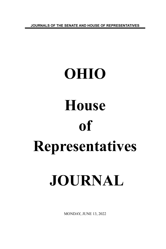**JOURNALS OF THE SENATE AND HOUSE OF REPRESENTATIVES**

# **OHIO House of Representatives JOURNAL**

MONDAY, JUNE 13, 2022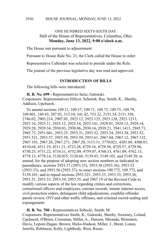## ONE HUNDRED SIXTY-SIXTH DAY Hall of the House of Representatives, Columbus, Ohio **Monday, June 13, 2022, 9:00 o'clock a.m.**

The House met pursuant to adjournment.

Pursuant to House Rule No. 23, the Clerk called the House to order.

Representative Callender was selected to preside under the Rule.

The journal of the previous legislative day was read and approved.

#### **INTRODUCTION OF BILLS**

The following bills were introduced:

**H. B. No. 699 -** Representatives Seitz, Galonski. Cosponsors: Representatives Hillyer, Schmidt, Ray, Smith, K., Sheehy, Addison, Upchurch.

To amend sections 109.11, 109.57, 109.71, 109.73, 109.75, 109.79, 109.801, 149.43, 307.93, 313.10, 341.42, 753.32, 2151.34, 2151.358, 2746.02, 2903.214, 2907.05, 2923.12, 2923.125, 2923.128, 2923.1213, 2923.16, 2925.11, 2925.12, 2925.14, 2925.141, 2929.01, 2929.13, 2929.14, 2929.20, 2929.34, 2930.03, 2930.06, 2930.16, 2939.21, 2941.1413, 2945.71, 2945.73, 2951.041, 2953.25, 2953.31, 2953.32, 2953.34, 2953.38, 2953.52, 2953.521, 2953.57, 2953.58, 2953.59, 2953.61, 2967.04, 2967.12, 2967.132, 2967.193, 2967.26, 2967.271, 2967.28, 3113.31, 3770.021, 4301.69, 4506.01, 4510.04, 4511.19, 4511.21, 4723.28, 4729.16, 4729.56, 4729.57, 4729.96, 4730.25, 4731.22, 4734.31, 4752.09, 4759.07, 4760.13, 4761.09, 4762.13, 4774.13, 4778.14, 5120.035, 5120.66, 5139.45, 5149.101, and 5149.38; to amend, for the purpose of adopting new section numbers as indicated in parentheses, sections 2953.37 (2953.35), 2953.38 (2953.36), 2953.52 (2953.33), and 2953.56 (2953.37); to enact sections 109.772, 109.773, and 5139.101; and to repeal sections 2953.321, 2953.33, 2953.35, 2953.36, 2953.51, 2953.53, 2953.54, 2953.55, and 2967.19 of the Revised Code to modify various aspects of the law regarding crimes and corrections, correctional officers and employees, coroner records, inmate internet access, civil protection orders, delinquent child adjudications, youthful offender parole review, OVI and other traffic offenses, and criminal record sealing and expungement.

**H. B. No. 700 -** Representatives Sobecki, Smith, M. Cosponsors: Representatives Smith, K., Galonski, Sheehy, Sweeney, Leland, Upchurch, O'Brien, Crossman, Miller, A., Denson, Miranda, Weinstein, Davis, Lepore-Hagan, Brown, Hicks-Hudson, Miller, J., Brent, Liston, Jarrells, Robinson, Kelly, Lightbody, West, Russo.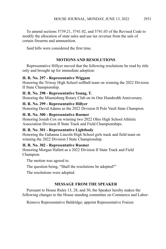To amend sections 5739.21, 5741.02, and 5741.03 of the Revised Code to modify the allocation of state sales and use tax revenue from the sale of certain firearms and ammunition.

Said bills were considered the first time.

# **MOTIONS AND RESOLUTIONS**

Representative Hillyer moved that the following resolutions be read by title only and brought up for immediate adoption:

#### **H. R. No. 297 - Representative Wiggam**

Honoring the Triway High School softball team on winning the 2022 Division II State Championship.

# **H. R. No. 298 - Representative Young, T.**

Honoring the Miamisburg Rotary Club on its One Hundredth Anniversary.

# **H. R. No. 299 - Representative Hillyer**

Honoring David Adams as the 2022 Division II Pole Vault State Champion.

# **H. R. No. 300 - Representative Roemer**

Honoring Josiah Cox on winning two 2022 Ohio High School Athletic Association Division II State Track and Field Championships.

# **H. R. No. 301 - Representative Lightbody**

Honoring the Gahanna Lincoln High School girls track and field team on winning the 2022 Division I State Championship.

#### **H. R. No. 302 - Representative Roemer**

Honoring Morgan Hallett as a 2022 Division II State Track and Field Champion.

The motion was agreed to.

The question being, "Shall the resolutions be adopted?"

The resolutions were adopted.

# **MESSAGE FROM THE SPEAKER**

Pursuant to House Rules 13, 28, and 30, the Speaker hereby makes the following changes to the House standing committee on Commerce and Labor:

Remove Representative Baldridge; appoint Representative Fraizer.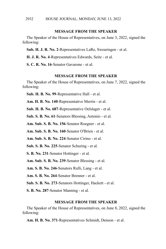#### **MESSAGE FROM THE SPEAKER**

The Speaker of the House of Representatives, on June 3, 2022, signed the following:

**Sub. H. J. R. No. 2**-Representatives LaRe, Swearingen - et al.

**H. J. R. No. 4**-Representatives Edwards, Seitz - et al.

**S. C. R. No. 16**-Senator Gavarone - et al.

#### **MESSAGE FROM THE SPEAKER**

The Speaker of the House of Representatives, on June 7, 2022, signed the following:

**Sub. H. B. No. 99**-Representative Hall - et al.

**Am. H. B. No. 140**-Representative Merrin - et al.

**Sub. H. B. No. 687**-Representative Oelslager - et al.

**Sub. S. B. No. 61**-Senators Blessing, Antonio - et al.

**Am. Sub. S. B. No. 156**-Senator Roegner - et al.

**Am. Sub. S. B. No. 160**-Senator O'Brien - et al.

**Am. Sub. S. B. No. 224**-Senator Cirino - et al.

**Sub. S. B. No. 225**-Senator Schuring - et al.

**S. B. No. 231**-Senator Hottinger - et al.

**Am. Sub. S. B. No. 239**-Senator Blessing - et al.

**Am. S. B. No. 246**-Senators Rulli, Lang - et al.

**Am. S. B. No. 264**-Senator Brenner - et al.

**Sub. S. B. No. 273**-Senators Hottinger, Hackett - et al.

**S. B. No. 287**-Senator Manning - et al.

#### **MESSAGE FROM THE SPEAKER**

The Speaker of the House of Representatives, on June 8, 2022, signed the following:

**Am. H. B. No. 371**-Representatives Schmidt, Denson - et al.